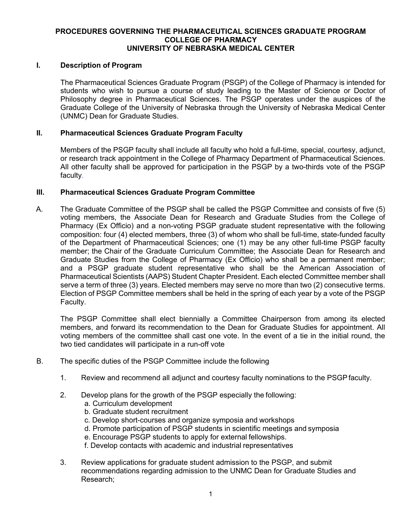# **PROCEDURES GOVERNING THE PHARMACEUTICAL SCIENCES GRADUATE PROGRAM COLLEGE OF PHARMACY UNIVERSITY OF NEBRASKA MEDICAL CENTER**

# **I. Description of Program**

The Pharmaceutical Sciences Graduate Program (PSGP) of the College of Pharmacy is intended for students who wish to pursue a course of study leading to the Master of Science or Doctor of Philosophy degree in Pharmaceutical Sciences. The PSGP operates under the auspices of the Graduate College of the University of Nebraska through the University of Nebraska Medical Center (UNMC) Dean for Graduate Studies.

### **II. Pharmaceutical Sciences Graduate Program Faculty**

Members of the PSGP faculty shall include all faculty who hold a full-time, special, courtesy, adjunct, or research track appointment in the College of Pharmacy Department of Pharmaceutical Sciences. All other faculty shall be approved for participation in the PSGP by a two-thirds vote of the PSGP faculty.

### **III. Pharmaceutical Sciences Graduate Program Committee**

A. The Graduate Committee of the PSGP shall be called the PSGP Committee and consists of five (5) voting members, the Associate Dean for Research and Graduate Studies from the College of Pharmacy (Ex Officio) and a non-voting PSGP graduate student representative with the following composition: four (4) elected members, three (3) of whom who shall be full-time, state-funded faculty of the Department of Pharmaceutical Sciences; one (1) may be any other full-time PSGP faculty member; the Chair of the Graduate Curriculum Committee; the Associate Dean for Research and Graduate Studies from the College of Pharmacy (Ex Officio) who shall be a permanent member; and a PSGP graduate student representative who shall be the American Association of Pharmaceutical Scientists (AAPS) Student Chapter President. Each elected Committee member shall serve a term of three (3) years. Elected members may serve no more than two (2) consecutive terms. Election of PSGP Committee members shall be held in the spring of each year by a vote of the PSGP Faculty.

The PSGP Committee shall elect biennially a Committee Chairperson from among its elected members, and forward its recommendation to the Dean for Graduate Studies for appointment. All voting members of the committee shall cast one vote. In the event of a tie in the initial round, the two tied candidates will participate in a run-off vote

- B. The specific duties of the PSGP Committee include the following
	- 1. Review and recommend all adjunct and courtesy faculty nominations to the PSGPfaculty.
	- 2. Develop plans for the growth of the PSGP especially the following:
		- a. Curriculum development
		- b. Graduate student recruitment
		- c. Develop short-courses and organize symposia and workshops
		- d. Promote participation of PSGP students in scientific meetings and symposia
		- e. Encourage PSGP students to apply for external fellowships.
		- f. Develop contacts with academic and industrial representatives
	- 3. Review applications for graduate student admission to the PSGP, and submit recommendations regarding admission to the UNMC Dean for Graduate Studies and Research;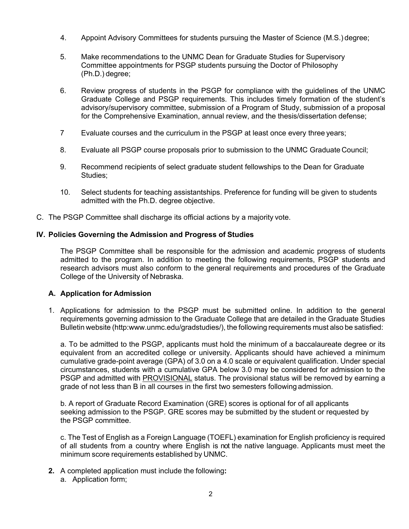- 4. Appoint Advisory Committees for students pursuing the Master of Science (M.S.) degree;
- 5. Make recommendations to the UNMC Dean for Graduate Studies for Supervisory Committee appointments for PSGP students pursuing the Doctor of Philosophy (Ph.D.) degree;
- 6. Review progress of students in the PSGP for compliance with the guidelines of the UNMC Graduate College and PSGP requirements. This includes timely formation of the student's advisory/supervisory committee, submission of a Program of Study, submission of a proposal for the Comprehensive Examination, annual review, and the thesis/dissertation defense;
- 7 Evaluate courses and the curriculum in the PSGP at least once every three years;
- 8. Evaluate all PSGP course proposals prior to submission to the UNMC Graduate Council;
- 9. Recommend recipients of select graduate student fellowships to the Dean for Graduate Studies;
- 10. Select students for teaching assistantships. Preference for funding will be given to students admitted with the Ph.D. degree objective.
- C. The PSGP Committee shall discharge its official actions by a majority vote.

# **IV. Policies Governing the Admission and Progress of Studies**

The PSGP Committee shall be responsible for the admission and academic progress of students admitted to the program. In addition to meeting the following requirements, PSGP students and research advisors must also conform to the general requirements and procedures of the Graduate College of the University of Nebraska.

### **A. Application for Admission**

1. Applications for admission to the PSGP must be submitted online. In addition to the general requirements governing admission to the Graduate College that are detailed in the Graduate Studies Bulletin website (http:www.unmc.edu/gradstudies/), the following requirements must also be satisfied:

a. To be admitted to the PSGP, applicants must hold the minimum of a baccalaureate degree or its equivalent from an accredited college or university. Applicants should have achieved a minimum cumulative grade-point average (GPA) of 3.0 on a 4.0 scale or equivalent qualification. Under special circumstances, students with a cumulative GPA below 3.0 may be considered for admission to the PSGP and admitted with PROVISIONAL status. The provisional status will be removed by earning a grade of not less than B in all courses in the first two semesters following admission.

b. A report of Graduate Record Examination (GRE) scores is optional for of all applicants seeking admission to the PSGP. GRE scores may be submitted by the student or requested by the PSGP committee.

c. The Test of English as a Foreign Language (TOEFL) examination for English proficiency is required of all students from a country where English is not the native language. Applicants must meet the minimum score requirements established by UNMC.

- **2.** A completed application must include the following**:**
	- a. Application form;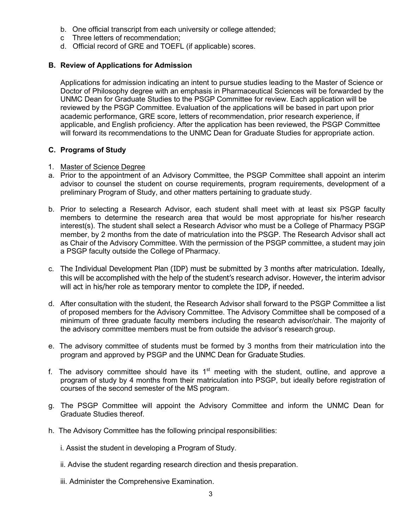- b. One official transcript from each university or college attended;
- c Three letters of recommendation;
- d. Official record of GRE and TOEFL (if applicable) scores.

# **B. Review of Applications for Admission**

Applications for admission indicating an intent to pursue studies leading to the Master of Science or Doctor of Philosophy degree with an emphasis in Pharmaceutical Sciences will be forwarded by the UNMC Dean for Graduate Studies to the PSGP Committee for review. Each application will be reviewed by the PSGP Committee. Evaluation of the applications will be based in part upon prior academic performance, GRE score, letters of recommendation, prior research experience, if applicable, and English proficiency. After the application has been reviewed, the PSGP Committee will forward its recommendations to the UNMC Dean for Graduate Studies for appropriate action.

### **C. Programs of Study**

### 1. Master of Science Degree

- a. Prior to the appointment of an Advisory Committee, the PSGP Committee shall appoint an interim advisor to counsel the student on course requirements, program requirements, development of a preliminary Program of Study, and other matters pertaining to graduate study.
- b. Prior to selecting a Research Advisor, each student shall meet with at least six PSGP faculty members to determine the research area that would be most appropriate for his/her research interest(s). The student shall select a Research Advisor who must be a College of Pharmacy PSGP member, by 2 months from the date of matriculation into the PSGP. The Research Advisor shall act as Chair of the Advisory Committee. With the permission of the PSGP committee, a student may join a PSGP faculty outside the College of Pharmacy.
- c. The Individual Development Plan (IDP) must be submitted by 3 months after matriculation. Ideally, this will be accomplished with the help of the student's research advisor. However, the interim advisor will act in his/her role as temporary mentor to complete the IDP, if needed.
- d. After consultation with the student, the Research Advisor shall forward to the PSGP Committee a list of proposed members for the Advisory Committee. The Advisory Committee shall be composed of a minimum of three graduate faculty members including the research advisor/chair. The majority of the advisory committee members must be from outside the advisor's research group.
- e. The advisory committee of students must be formed by 3 months from their matriculation into the program and approved by PSGP and the UNMC Dean for Graduate Studies.
- f. The advisory committee should have its  $1<sup>st</sup>$  meeting with the student, outline, and approve a program of study by 4 months from their matriculation into PSGP, but ideally before registration of courses of the second semester of the MS program.
- g. The PSGP Committee will appoint the Advisory Committee and inform the UNMC Dean for Graduate Studies thereof.
- h. The Advisory Committee has the following principal responsibilities:
	- i. Assist the student in developing a Program of Study.
	- ii. Advise the student regarding research direction and thesis preparation.
	- iii. Administer the Comprehensive Examination.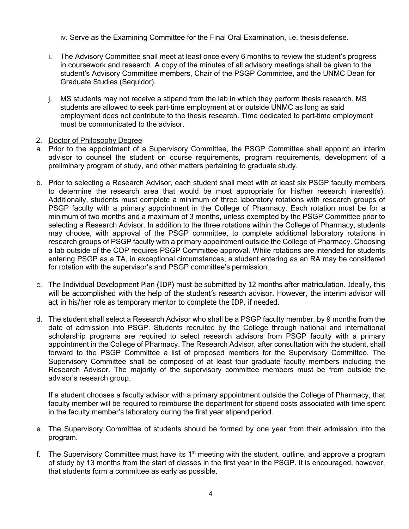iv. Serve as the Examining Committee for the Final Oral Examination, i.e. thesis defense.

- i. The Advisory Committee shall meet at least once every 6 months to review the student's progress in coursework and research. A copy of the minutes of all advisory meetings shall be given to the student's Advisory Committee members, Chair of the PSGP Committee, and the UNMC Dean for Graduate Studies (Sequidor).
- j. MS students may not receive a stipend from the lab in which they perform thesis research. MS students are allowed to seek part-time employment at or outside UNMC as long as said employment does not contribute to the thesis research. Time dedicated to part-time employment must be communicated to the advisor.
- 2. Doctor of Philosophy Degree
- a. Prior to the appointment of a Supervisory Committee, the PSGP Committee shall appoint an interim advisor to counsel the student on course requirements, program requirements, development of a preliminary program of study, and other matters pertaining to graduate study.
- b. Prior to selecting a Research Advisor, each student shall meet with at least six PSGP faculty members to determine the research area that would be most appropriate for his/her research interest(s). Additionally, students must complete a minimum of three laboratory rotations with research groups of PSGP faculty with a primary appointment in the College of Pharmacy. Each rotation must be for a minimum of two months and a maximum of 3 months, unless exempted by the PSGP Committee prior to selecting a Research Advisor. In addition to the three rotations within the College of Pharmacy, students may choose, with approval of the PSGP committee, to complete additional laboratory rotations in research groups of PSGP faculty with a primary appointment outside the College of Pharmacy. Choosing a lab outside of the COP requires PSGP Committee approval. While rotations are intended for students entering PSGP as a TA, in exceptional circumstances, a student entering as an RA may be considered for rotation with the supervisor's and PSGP committee's permission.
- c. The Individual Development Plan (IDP) must be submitted by 12 months after matriculation. Ideally, this will be accomplished with the help of the student's research advisor. However, the interim advisor will act in his/her role as temporary mentor to complete the IDP, if needed.
- d. The student shall select a Research Advisor who shall be a PSGP faculty member, by 9 months from the date of admission into PSGP. Students recruited by the College through national and international scholarship programs are required to select research advisors from PSGP faculty with a primary appointment in the College of Pharmacy. The Research Advisor, after consultation with the student, shall forward to the PSGP Committee a list of proposed members for the Supervisory Committee. The Supervisory Committee shall be composed of at least four graduate faculty members including the Research Advisor. The majority of the supervisory committee members must be from outside the advisor's research group.

If a student chooses a faculty advisor with a primary appointment outside the College of Pharmacy, that faculty member will be required to reimburse the department for stipend costs associated with time spent in the faculty member's laboratory during the first year stipend period.

- e. The Supervisory Committee of students should be formed by one year from their admission into the program.
- f. The Supervisory Committee must have its  $1<sup>st</sup>$  meeting with the student, outline, and approve a program of study by 13 months from the start of classes in the first year in the PSGP. It is encouraged, however, that students form a committee as early as possible.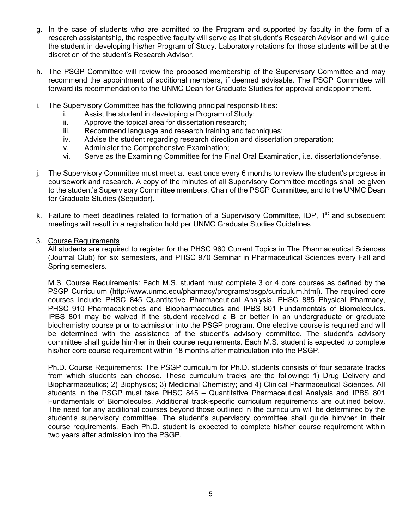- g. In the case of students who are admitted to the Program and supported by faculty in the form of a research assistantship, the respective faculty will serve as that student's Research Advisor and will guide the student in developing his/her Program of Study. Laboratory rotations for those students will be at the discretion of the student's Research Advisor.
- h. The PSGP Committee will review the proposed membership of the Supervisory Committee and may recommend the appointment of additional members, if deemed advisable. The PSGP Committee will forward its recommendation to the UNMC Dean for Graduate Studies for approval andappointment.
- i. The Supervisory Committee has the following principal responsibilities:
	- i. Assist the student in developing a Program of Study;<br>ii. Approve the topical area for dissertation research:
	- Approve the topical area for dissertation research;
	- iii. Recommend language and research training and techniques;
	- iv. Advise the student regarding research direction and dissertation preparation;
	- v. Administer the Comprehensive Examination;
	- vi. Serve as the Examining Committee for the Final Oral Examination, i.e. dissertationdefense.
- j. The Supervisory Committee must meet at least once every 6 months to review the student's progress in coursework and research. A copy of the minutes of all Supervisory Committee meetings shall be given to the student's Supervisory Committee members, Chair of the PSGP Committee, and to the UNMC Dean for Graduate Studies (Sequidor).
- k. Failure to meet deadlines related to formation of a Supervisory Committee, IDP, 1<sup>st</sup> and subsequent meetings will result in a registration hold per UNMC Graduate Studies Guidelines
- 3. Course Requirements

All students are required to register for the PHSC 960 Current Topics in The Pharmaceutical Sciences (Journal Club) for six semesters, and PHSC 970 Seminar in Pharmaceutical Sciences every Fall and Spring semesters.

M.S. Course Requirements: Each M.S. student must complete 3 or 4 core courses as defined by the PSGP Curriculum (http://www.unmc.edu/pharmacy/programs/psgp/curriculum.html). The required core courses include PHSC 845 Quantitative Pharmaceutical Analysis, PHSC 885 Physical Pharmacy, PHSC 910 Pharmacokinetics and Biopharmaceutics and IPBS 801 Fundamentals of Biomolecules. IPBS 801 may be waived if the student received a B or better in an undergraduate or graduate biochemistry course prior to admission into the PSGP program. One elective course is required and will be determined with the assistance of the student's advisory committee. The student's advisory committee shall guide him/her in their course requirements. Each M.S. student is expected to complete his/her core course requirement within 18 months after matriculation into the PSGP.

Ph.D. Course Requirements: The PSGP curriculum for Ph.D. students consists of four separate tracks from which students can choose. These curriculum tracks are the following: 1) Drug Delivery and Biopharmaceutics; 2) Biophysics; 3) Medicinal Chemistry; and 4) Clinical Pharmaceutical Sciences. All students in the PSGP must take PHSC 845 – Quantitative Pharmaceutical Analysis and IPBS 801 Fundamentals of Biomolecules. Additional track-specific curriculum requirements are outlined below. The need for any additional courses beyond those outlined in the curriculum will be determined by the student's supervisory committee. The student's supervisory committee shall guide him/her in their course requirements. Each Ph.D. student is expected to complete his/her course requirement within two years after admission into the PSGP.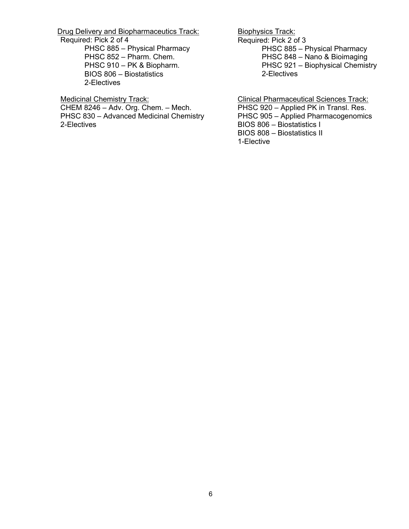Drug Delivery and Biopharmaceutics Track: Required: Pick 2 of 4

PHSC 885 – Physical Pharmacy PHSC 852 – Pharm. Chem. PHSC 910 – PK & Biopharm. BIOS 806 – Biostatistics 2-Electives

Medicinal Chemistry Track: CHEM 8246 – Adv. Org. Chem. – Mech. PHSC 830 - Advanced Medicinal Chemistry 2-Electives

Biophysics Track: Required: Pick 2 of 3 PHSC 885 – Physical Pharmacy PHSC 848 – Nano & Bioimaging PHSC 921 – Biophysical Chemistry 2-Electives

Clinical Pharmaceutical Sciences Track: PHSC 920 – Applied PK in Transl. Res. PHSC 905 – Applied Pharmacogenomics BIOS 806 – Biostatistics I BIOS 808 – Biostatistics II 1-Elective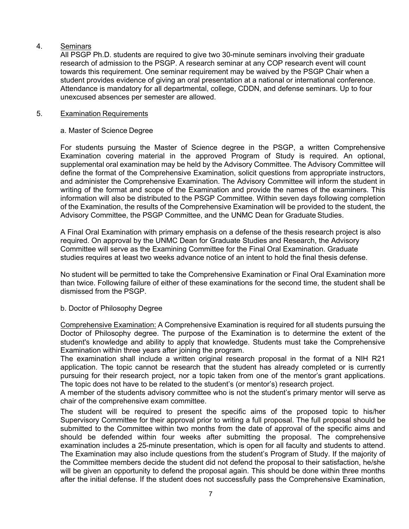# 4. Seminars

All PSGP Ph.D. students are required to give two 30-minute seminars involving their graduate research of admission to the PSGP. A research seminar at any COP research event will count towards this requirement. One seminar requirement may be waived by the PSGP Chair when a student provides evidence of giving an oral presentation at a national or international conference. Attendance is mandatory for all departmental, college, CDDN, and defense seminars. Up to four unexcused absences per semester are allowed.

### 5. Examination Requirements

## a. Master of Science Degree

For students pursuing the Master of Science degree in the PSGP, a written Comprehensive Examination covering material in the approved Program of Study is required. An optional, supplemental oral examination may be held by the Advisory Committee. The Advisory Committee will define the format of the Comprehensive Examination, solicit questions from appropriate instructors, and administer the Comprehensive Examination. The Advisory Committee will inform the student in writing of the format and scope of the Examination and provide the names of the examiners. This information will also be distributed to the PSGP Committee. Within seven days following completion of the Examination, the results of the Comprehensive Examination will be provided to the student, the Advisory Committee, the PSGP Committee, and the UNMC Dean for Graduate Studies.

A Final Oral Examination with primary emphasis on a defense of the thesis research project is also required. On approval by the UNMC Dean for Graduate Studies and Research, the Advisory Committee will serve as the Examining Committee for the Final Oral Examination. Graduate studies requires at least two weeks advance notice of an intent to hold the final thesis defense.

No student will be permitted to take the Comprehensive Examination or Final Oral Examination more than twice. Following failure of either of these examinations for the second time, the student shall be dismissed from the PSGP.

### b. Doctor of Philosophy Degree

Comprehensive Examination: A Comprehensive Examination is required for all students pursuing the Doctor of Philosophy degree. The purpose of the Examination is to determine the extent of the student's knowledge and ability to apply that knowledge. Students must take the Comprehensive Examination within three years after joining the program.

The examination shall include a written original research proposal in the format of a NIH R21 application. The topic cannot be research that the student has already completed or is currently pursuing for their research project, nor a topic taken from one of the mentor's grant applications. The topic does not have to be related to the student's (or mentor's) research project.

A member of the students advisory committee who is not the student's primary mentor will serve as chair of the comprehensive exam committee.

The student will be required to present the specific aims of the proposed topic to his/her Supervisory Committee for their approval prior to writing a full proposal. The full proposal should be submitted to the Committee within two months from the date of approval of the specific aims and should be defended within four weeks after submitting the proposal. The comprehensive examination includes a 25-minute presentation, which is open for all faculty and students to attend. The Examination may also include questions from the student's Program of Study. If the majority of the Committee members decide the student did not defend the proposal to their satisfaction, he/she will be given an opportunity to defend the proposal again. This should be done within three months after the initial defense. If the student does not successfully pass the Comprehensive Examination,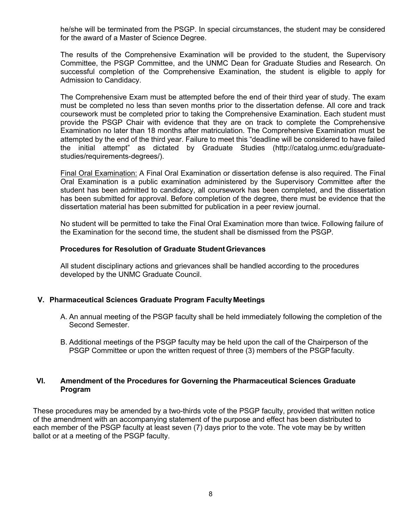he/she will be terminated from the PSGP. In special circumstances, the student may be considered for the award of a Master of Science Degree.

The results of the Comprehensive Examination will be provided to the student, the Supervisory Committee, the PSGP Committee, and the UNMC Dean for Graduate Studies and Research. On successful completion of the Comprehensive Examination, the student is eligible to apply for Admission to Candidacy.

The Comprehensive Exam must be attempted before the end of their third year of study. The exam must be completed no less than seven months prior to the dissertation defense. All core and track coursework must be completed prior to taking the Comprehensive Examination. Each student must provide the PSGP Chair with evidence that they are on track to complete the Comprehensive Examination no later than 18 months after matriculation. The Comprehensive Examination must be attempted by the end of the third year. Failure to meet this "deadline will be considered to have failed the initial attempt" as dictated by Graduate Studies (http://catalog.unmc.edu/graduatestudies/requirements-degrees/).

Final Oral Examination: A Final Oral Examination or dissertation defense is also required. The Final Oral Examination is a public examination administered by the Supervisory Committee after the student has been admitted to candidacy, all coursework has been completed, and the dissertation has been submitted for approval. Before completion of the degree, there must be evidence that the dissertation material has been submitted for publication in a peer review journal.

No student will be permitted to take the Final Oral Examination more than twice. Following failure of the Examination for the second time, the student shall be dismissed from the PSGP.

### **Procedures for Resolution of Graduate StudentGrievances**

All student disciplinary actions and grievances shall be handled according to the procedures developed by the UNMC Graduate Council.

### **V. Pharmaceutical Sciences Graduate Program FacultyMeetings**

- A. An annual meeting of the PSGP faculty shall be held immediately following the completion of the Second Semester.
- B. Additional meetings of the PSGP faculty may be held upon the call of the Chairperson of the PSGP Committee or upon the written request of three (3) members of the PSGPfaculty.

## **VI. Amendment of the Procedures for Governing the Pharmaceutical Sciences Graduate Program**

These procedures may be amended by a two-thirds vote of the PSGP faculty, provided that written notice of the amendment with an accompanying statement of the purpose and effect has been distributed to each member of the PSGP faculty at least seven (7) days prior to the vote. The vote may be by written ballot or at a meeting of the PSGP faculty.